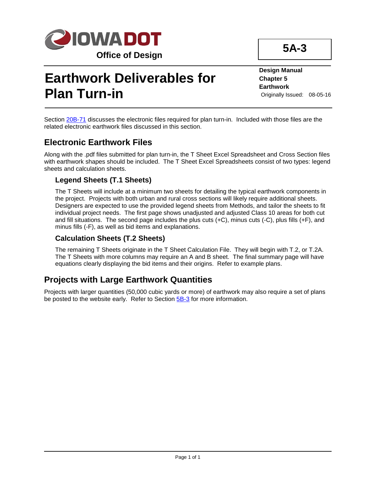

# **Earthwork Deliverables for Plan Turn-in**

**Design Manual Chapter 5 Earthwork** Originally Issued: 08-05-16

**5A-3**

Section 20B-71 discusses the electronic files required for plan turn-in. Included with those files are the related electronic earthwork files discussed in this section.

## **Electronic Earthwork Files**

Along with the .pdf files submitted for plan turn-in, the T Sheet Excel Spreadsheet and Cross Section files with earthwork shapes should be included. The T Sheet Excel Spreadsheets consist of two types: legend sheets and calculation sheets.

#### **Legend Sheets (T.1 Sheets)**

The T Sheets will include at a minimum two sheets for detailing the typical earthwork components in the project. Projects with both urban and rural cross sections will likely require additional sheets. Designers are expected to use the provided legend sheets from Methods, and tailor the sheets to fit individual project needs. The first page shows unadjusted and adjusted Class 10 areas for both cut and fill situations. The second page includes the plus cuts (+C), minus cuts (-C), plus fills (+F), and minus fills (-F), as well as bid items and explanations.

#### **Calculation Sheets (T.2 Sheets)**

The remaining T Sheets originate in the T Sheet Calculation File. They will begin with T.2, or T.2A. The T Sheets with more columns may require an A and B sheet. The final summary page will have equations clearly displaying the bid items and their origins. Refer to example plans.

## **Projects with Large Earthwork Quantities**

Projects with larger quantities (50,000 cubic yards or more) of earthwork may also require a set of plans be posted to the website early. Refer to Section 5B-3 for more information.